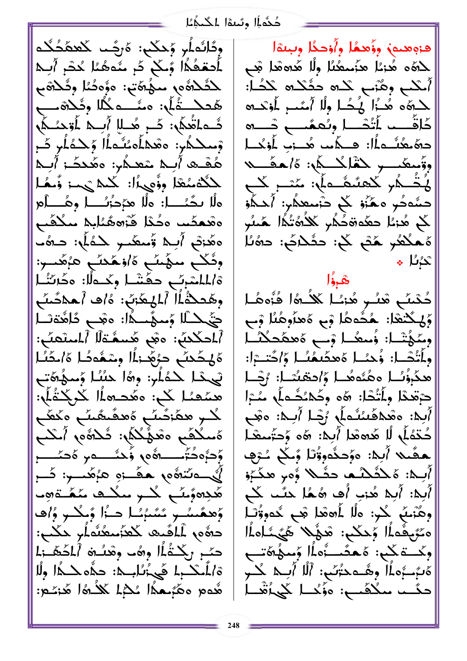حُدُّواً ويُبِهَا لِمُكْدُبًا

وَثَالُهار وَحِكْمٍ: هُرَيْب لَمْعَهُكُمْ لَمُحَمَّكُما وَّىكُمْ ثُمِ مُتَمَعُّمَا كُنْتُمْ أَبِيدًا للثَلاةُ مِن مَنْهُمَّتٍ: وَوُوضُا وِثَلاَةَ مِ<br>هَملے غُلِّ: ومُسمطُل وِثَلِاةَ مِ فُـءلمَّعُكُم: کُــرٖ هُــلِلِ ٱُلِــِكَ ـأَوْحَـُـكُم وۡمططُر: ہقطاُہنُـُماا وَۡطَهُار ضَـ هُڡٛٓٮ۞ أُبِيهِ مْعِيهُنٖ: ههُدَكُ: أُبِيهِ لْمَحْدَمُعْدَا وِؤْهِيدًا: كَمْمَدْ يَهْدَ وََّحَمَّا ەلْل ىـــَــْـــــــا: ەلْل ھمِّـدَّىـُـــــــــا وهُـــــــامِر ەھْھكَسە ەكْتْلا كَارەھَمُلْبِه مىڭگىم ەھٗزتْم أُبِيا وَّمعكَسو بِلْتُمُلُّهِ: شَرُّفُت وِثَكُمْ سَهَّسَّعْ هَاوْهَكْتُمْ هَزْهُسْو: ة/لملْشربٌ حفَّشْه وكحالًا: 5كَانَتُـا وهُدخةُ أَا ٱلْمُعَذِّبُ: هُ/َ ٱهْدَمَّبَ حَيُّكُمَّا مُِمِيَّمَــدًا: هڤِبِ كَاهُّتَهَــا ٱلمحَكَّفَ: هَمْ هُسِعٌـٰٓةَا ٱلمنْعَبِّ: ەْلەڭكى دۇھدىلا وشىھەئىل ەْلىڭىلا نْهَكُمْ لَكُمُلُو: وِهَٰا حَسُّلَ وَمِعْهُمَّت همّهمْا كَمِ: همّحـهاًا كَرِكْتُهَ): لْكُــرِ مَمَّنْشَكُمْ هُمَشَكْمَة مَكْتَكُمْ مَنْ مَكْتَبَدِينَ مَنْ مَكْتَبَدِينَ مَنْ مَكْتَبَدِي ەَسْلَاھُىم ەشمۇلگە: ئَىلاۋەم أَسْلَىمْ وُحرُّەكتُرْــــــرُّەم فَكنُــــــــــــوم كَحنُــــــــو أَيُّ حَاشَةُهِ، حَفَّــزِهِ عَزْهَدَـــزٍ: كَـــزِ ھُٰٓدِہوۡٓئُے گے سگھ مَّمَّـۃہِ۔ وَهمُسُــرِ مُمُبُئِــا حــزًا وُبِـكْــرِ وُاف دەُەر لْمَاقْىھ كْعْنَىمْدُمْلَى مْكْب: حِمْحٍ رِجْتُمُاْ وهُب وقْعُدُهُ ٱلْمُحَمَّـزَا ة/لَمْكْبِهِ فَيْ زُمَابِكَ: حِذْهِ حَكْدًا وِلًا هُدم وهَبُعِما حُدْلِ لَكْتُوا هُنْصُو:

فزوهمو ووُهمًا وأوحدًا وبينةا لِهُو هُزْمًا هزَّمْهُمًا وِلًا هُدُوهَا هُبِ أىتم ومَّنْبِ لَمْه حفَّتْم تَكْـا: كِيهَهِ هُـزًا لَهُـمًا وِلًا أَمَّى لَمْوَكَّدِهِ دەَىعُنْــداٰا: قـــەَـــى مُـــزبِ لِمُوْكَـــا وِتَوْسِعَىٰبِ لِمَقْلِكُمُ : هُ/هفَـــــلا فُخُــدُو كَعْمَدْهُــمِلّة: مَتْـــز كَــح حشَّەتُو ۚ ەھۡنُوۡ كُمۡ تُنۡمعِدُو: أَحَذَّوۡ ﻼ ﻣُﻨﻨُﺎ ﺣﻌًﻪﺗَﻪُﺤُﺮ ଏَ*ّا ﻣُّﻪُﺗُ*ّﺎ ﻫُﯩﻠُﺮ ەْھكْتُو ھَتْى كَى: حَثَّكْلاَضْ: حَثَّلاَلُ **بْدَبِيْلِ** چ **ئگ;ڈا** حُدْبَبُ هَنُـرٍ هُٰۂـُـا كُلُـهُا فُۂُوهُـا وَلِيَكْتَعْدَا: هُخُوطًا وَمِ هَعْدَوِهُنَا وَمِ وسَّوْتْهَا: وُسِعْهَا وْبِ هَعْفَدْكْتُهَا وِلۡتُحۡـا: وُحنُــا هَعۡحَٰىعُنُــا وۡاٖحَـٰـٓءَاٜ! هَكُرْوُسًا مِكْتُمِعًا وَاحْقِسُا: رُجَّا حرْقَدْا وِلْمُتْدَا: هَ٥ وِكَمْنُشُمْلُهِ مُتْزَا أَبِهِ: هَمْهُفُعُلُهُ رُجْلًا أُبِيهَ: هَبْم حُدَّمُلِّهِ لَا هُدهقْدا أَبِيهِ: هُو وُحتُّمِيشَا هقَىٰلا أَبِلا: هَوُحثُهُووُّلْا وُمِكْمٍ مُتَوَفِّ أَبِ1: هَـٰذَكْسُـُـٰفَ حَشَـٰلاً وَّەرِ هَكَـٰزِهِ أَبِهِ: أَبِهِ هُنِي أُف هُمُّا كِنَّبٍ كُمْ وِهُنْكَمْ يَكُنْ وَلَا لِمُوْهَا هُمْ يُحَوِوُّلُنَا الْمَالَمِيْدِهِ الْمُكْلِمِ: شَوْيُلا هَيُحْادِمُا وكتقكع: هَعْصَــزُه أَا وَسَهُهَتــم كَاتَبْتُوماًا وِهُــودُتُمْ: ٱلْا أَبِــدْ كُــْر حنَّـــا مىڭگَـــا : ەۆَكْــا كَجِدَتْنَــا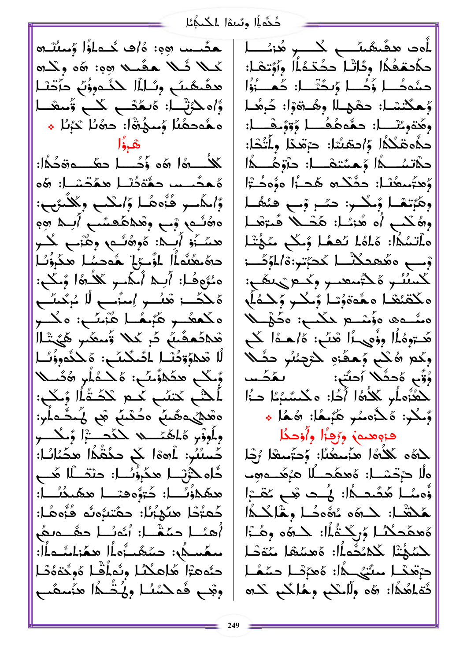حُدُّوباً وسُدْا لِكُدِّيْا

كملا ئىلا ھقُمىلا بوە: ئەە وڭىدە هفَىهُىٍّ وِتَـالْمَا حَدٌءووُّبٌ حَزَّحْتَـا وْۚاهِ حَرْثَـا: هَىمَصْحِ كَبِ وَّسِعْــا ەھەدھُىُل وَسِيْرَةٌ!: دەُنُل تَبْرُنُل ﴾ **ئگرؤا** كلاً \_ هُا هُ ه وُحُــــــا حمَّـــــــــه تفحُمُّا: ەْھمَىس جۇقۇشا ھەتشىل: «ە وَٱلطَّـــو هُنُوهُــا وَٱلنَّــمِ وِكَلَّـنُىجِ: ه\$نُــه وْبِ وِتْعَاهَٰفِسَـٰبِ أَبِــهِ هِهِ همْسَنُوْ أَبِ£: هُوِهُنُسُم وِهُنْبٍ لَحْسِ حدَّمشُهُ أَا لِمُوَّسِيِّ هُوجِسًا مِحْدِوُنُـا ەمُؤَوفًا: أَبِيا أَيكْسِ كَلُّدُوا وَّيكُو: ەَ ݣُݣُـــز قْلُـــو إمدَّنـــع لَّا مُرْكَمَلْــع ەڭھەئـــو ھَبُـمْــا ھْنْتَــح: ەڭـــو هْلاَكْمِفَىلّ كَرِ كَلا وَّسطَبِ هَيَسْأَا لًا شَكْوُوْحُنْـا لمُكْكَّب: ەَـكْدُووُنُـا وَّىكَــم هكَــْمُنَّــى: ەَـْــْـەُـلُر ەُتَـــلا أَحْنَٰٓحٖ كُتسَٰٓحٍ كُدْمٍ كَكُنَّهُ أَا وَۡكُنَّ ۖ :بَامْشُمْهِ بَهْ بِلْمُكُمْ مِنْمُعْمِرْكِمُهُمْ وِلُووْرِ هَاهَنَّـــــلا لِـلَحْـــــٰٓٓ إِلَ وُلَـــٰـــرِ كَسْلُو: ءُ‰ا كَمْ حكْتُكُا هكْتْلْكْا: خُاهِ حَزَّيْهِ لِمَحْبِوُّسُــا: حنْتَـــْلَا هَــــعِ ههُدۇنَـــا: خَتْوُهِعْـَــا ههَــدُنُـــا: كُمْتُوْا هِنِّهِ زُنا: حِمَّتِيرُونُو فُزُوهُا: أُهنُـــا حمّشْــا: ٱدْمَنُــا حمُّــــــــــمعُـــو معكَّميكُم: حمَّدَهُم أوماً هكَّ المُمار حنُوعَۃًا هُامكُـُـا وِثَماُقَّـا ہُوجُتوہُحَـا وثب فُوحِسُنًا وِيُخُـٰدُا مِنَسمَب

لمُوت هَفَمَقَتَنَـــمِ كُلّـــبِرِ هُنْئَـــا حكَمحَهُمُا وِدًاتْ احكُدْهُلُا وَوُتِهْا: حِشْهِ رُـــٰ أَوْكُـــٰ أَ وَبِـكُثَّـــا: ۖ كَـمَـــزُوُّ ا وُمكْتَسْا: حقهال وهُـ ةَوْا: خَرْهُـا وِهَٰتَوِمُنْـــا: حَـقُومُكُـــا وَٰوَوُحَفْـــا: حِدُّه مَّكُدًا وَ/حقسُا: حرِّمْحْا وِلَمُتُدا: حكْتَسُـــدُا وَحِسَّتَهْــــا: حَآوْهُـــدُا وَهتَنِمْعَنْدَا: حَثَّكُمْ هَجْزًا وَوُوَحُــٰٓرَا وهَبْتَهْـا وُحُكَّـر: حَنَّـر وْبِ هِنْهَـا وِهُ كُنبُ أَه هُزَيْنَا: هَضْلًا قُنزْهَنَا ەلْتىنىداً: كَامُا ئەھْل ۇىڭى مَىْشَا وْ؎ ەھٚھجڭشْدا كْجِتو:ۋالمۇڭس للمشارح الأسعسر ولمحصول بالمستن مكقئعْا معُەوْسْا وُكْر وْكْمُلْ . ەسگىمى ەۆسىسىر بىككىپ: ەكتىللا هُدَّوِهُ أَا وِوْعِيداً هُنَّى: هَ/هـهُ| كُمّ وكُمْ 2ْكُمْ وَحْقَاهِ كَوْجِئْسْ حَشَّلًا وُقَّعٍ هُحثَلًا أُحتَّعٍ:<br>لَكْفُوْملُو لَكْثُوا أُحَا: وكُلسَّبُهُا حـُزا ۇبكر: ەَݣەمئىر ھَبْىغَا: ھەغا م فزوهنم وروءُ وأودكا لِهُمْ لَلْأَهُمُ الْمُنْسَعُبُ وَحَتَّسَعْدًا رُجًّا ەلل دېخمىلا: ەھككىلل ھۇھُـــەھ وَّْوَسُمْ الصَّحْدَىٰمَا: رُسَّى صَبْحَتْ الْمَسْتَمَرَّا هَكَقْدًا: حَـهُ٥ مُهُ٥ضُمْ وِغْمَاجُكُمُا ەَمھَحكْسًا وُرِجْتُمَٰاً: ܢܠܬܘ وهُــْزَا لْكَتْجُتْلْ كْلاَنْحُمْلُا: هُمْسَٰهْلْ سَتَوْصَلْ دققها ستيكما: ةهزئها حمّمُها ثَقاهُكُا: 6ه ولَا تَكُمْ وِهُا كُلُّ لَدْه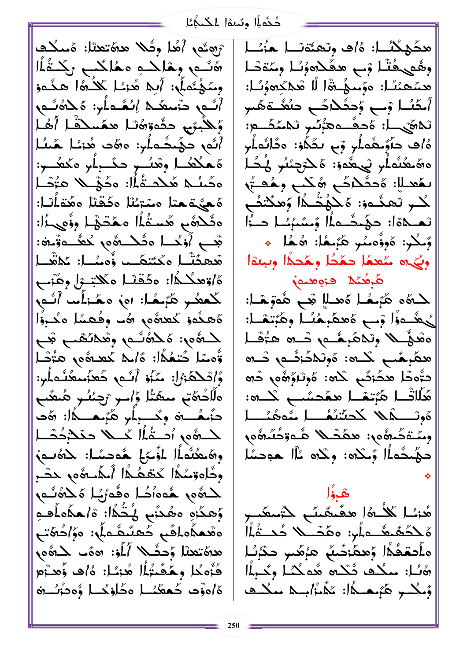حُدُّهِ إِلَّا وِتَىبِهَا لِمَكْبِكِمَا

تَرْجِعُهِ أَهُلَ وِثَلاً هِجَاتَهُ أَمْسَلُكُمْ أَسْلَمَهِ الْمُصَّعِ وِهَالِحَـهِ مَعْلَمُكِم رَكْتُمُا وِسَٰٓهُمَاٗ): أَبِهِ هُزَىٰٓا لَمَكُّهُا هِخُووْ أَنَّــم حَنْمِعْــمْ إِنْـقُــملُن: هَــلاَهُنَّــمِ وَلِللَّبِنَى حثَّدةِهُنَّا مِعْسَلَقًا أَهْلَ أَنَّه حَهُنصًام: 500 هُزئـا هَنئا. ەْھەلگىل وقىلىر ھىگىبلر ەڭگىر: ەكْسُّـى ھُــلَاتُـةُـلَّا: ەكْهُــلَا ھَـُوْــَـل :الْأَهْمَاءُ مِنْتَهُمْ لِنَدْسَهُ مَنْهُمْ وَثَلاَةُم هَٰىنةُ أَا وَهَٰتَهُا وَوُّوَىٰاً: تْفِ أُوْكُــا هِ ثُكْــ رُهُ مِ كُعُّــوْتُوفُ: مْعِمَّتْـا مكْتَنفَــب وُّمِيْــا: عَلاَمْــا ة/قعككًا: ەكْفْسْا ەڭلىتول وِمُنْسَم كَعْعُـُـرٍ هُبُـِمُـاً: اهِ وَهُـَـٰٓأَمِـٰ ٱلَـُـهِ ەُھِنُّەز كَعِيڤُوم ھُ۔ وِھُھسُا وكُرزُّا لِمَسْمَى: كَالْمَانُسْمِ وِتَعَطِّنُكُمْسِ بِمَسْمٍ َوْْمِسْا شَعْكَا: هُ/ما كَع*ْدِوْهُ*مِ هِتُرْسَا وُٖۢٱڞٓڵڴۮۯؙڶ؞ٮڬزُو۞ڷۘڡ٩۪ۦڬڡڎؙڹٮٮڡۢڎڷڡڵؙڔ؞۬ ەلّادُھَّت مىھَتْا وَإمر رْجِئْس ھُىھَب دَّمكَـــة وِكَــــبِلَرِ هَبْــمـــدَا: هَت لمُسْتُمُو أُصْتُفُلًا حُسْلًا حَفَلْأُخُصْلُ وهَ حَقَّدُ الْمُؤْمَرِّ } هُ عَصَمًا: لَكُمُ مِنْ مِنْ وِدًاه;مَمُاْ كَتَفَعُمُاْ أَيْكُمْ هُوَ حَضْرِ بَصَّفَهُمْ مَعْدَاهُمْ لِمُحَمَّدُ بِمَثْلِكَمْ فَلَمْتُمْتَ بِمَثْلَةٍ وَهِكُوْهِ هِهُدُو لِمُتُكُمُ ا: ۚ هُ/هِكُمْلُوهِ ەھْھكەلمۇم كَھسُھُّملُ: ەۆاكەقت هدهُ تعنا وُحثُــلا أَلَمُو: هَهُ ــ ـــدهُم فُزْهِكُمْ وِهُقُنُّوَٰٰٓٓاً هُوَٰٓئِدًا: هُ/ُڡ وَۡعِنْوَمِ كَاهِوْد خُمِعَنُــا هِخَاوْنُحــا وُهِجَٰنُــة

هكُمْكُلًا: هُ/ُ وِنْعِثَةِنْـا هُزُــا وهُمِيهُنَّا وْبِ مِفَكُووُبًا وِسُوْصًا همّْعِنْنَا: ەوّْمِجْتْۋَا لَا شْکَکِهْوَنَـا: أَمكَنُـا وْبِ وۡحَفُـٰاكَـٰٓ حَنُفُـُـٰٓةَهَـٰبِ لْلائْݣْلْسَا: ەْحْشْـەتنْزْىلْىر لْلامْكْسَـــْعْ: ەُ}ف حَاوُمِـثَـٰمَامِ وَمِع ىـتَـكَاوْ: ەڭاللەـامِ ەھكىمەلەر ئېيغىغە: كەلارىگەن ئەگىل بِمُعْلِلِ: هَجَثُكْلُكُمْ وُكْبُ وِهُدْ يُ كُمْ تُعِدُّهِ: هَٰكُهُتُمُّا وَمِكْتُفُّ تَعَـــدَةَا: حَهُّــدَّــدَاْ وُسِّنَبُـُــا حَــذَا وًىكُو: ەُوۋْەمىُو ھَرَّىمُا: ھُھَا ۔ وبُّيِّ مَعْجَمًا حَمَّجًا وَهَجَدًا وَبِيدَا هُ وَهُمَّلًا هَ وَجَعَدَهُ لحدَهُ وَمُبَعْداً هُمْلاً هُبْ هُوَهْداً: لَيْهُـوَٰا وَبِ وَهِيمَاهِ وَهَيْتُهَـا: هڤعوثُما\ وِتَمَطَّرِهُمَا دَمَّا هُتُوْمَا هكَبِمُبِ لَدْهِ: هُوِلْكُنْزُسُمِ ثَــهِ دَّوْهَا مِدَّرْمُمِ ۚ لَاهِ: هُوِلْأَوْهُمِ ۚ دُه هَٰلَاتْــا هُبْتقــا مفَحسُب كَـــــهِ: دُونْكُمْ لَا حَدَّنْتُمُكُمْ لَهُ مُعْمَدُكُمْ الْمُ وِسُتَصَدُّهُ): مَكَشَلًا هُـُدَوْحُلُمُوُّهِ) حَكِّمَثُماْ وُحْدُه: وِكْلَه عُلَّا هودسُا ھُزئا كُلُّەُ ھڤَىڤَىنَ لەھھىر ەَ ݣْݣُمْعْــەلْم: ەھَتْـــىلا خُـنــةْلْمْ مأَنغفُدُا وَمِتَنفَسٌ هَزْمُسِ حَدْبُهِا ا هُنُا: مِىكُتْ ذَكْرُه هُوكُمُا وِكْبِلَا

وَكْبِ هَزَىعِكَلا: يَكْتُرُابِكَ مِكْتُ